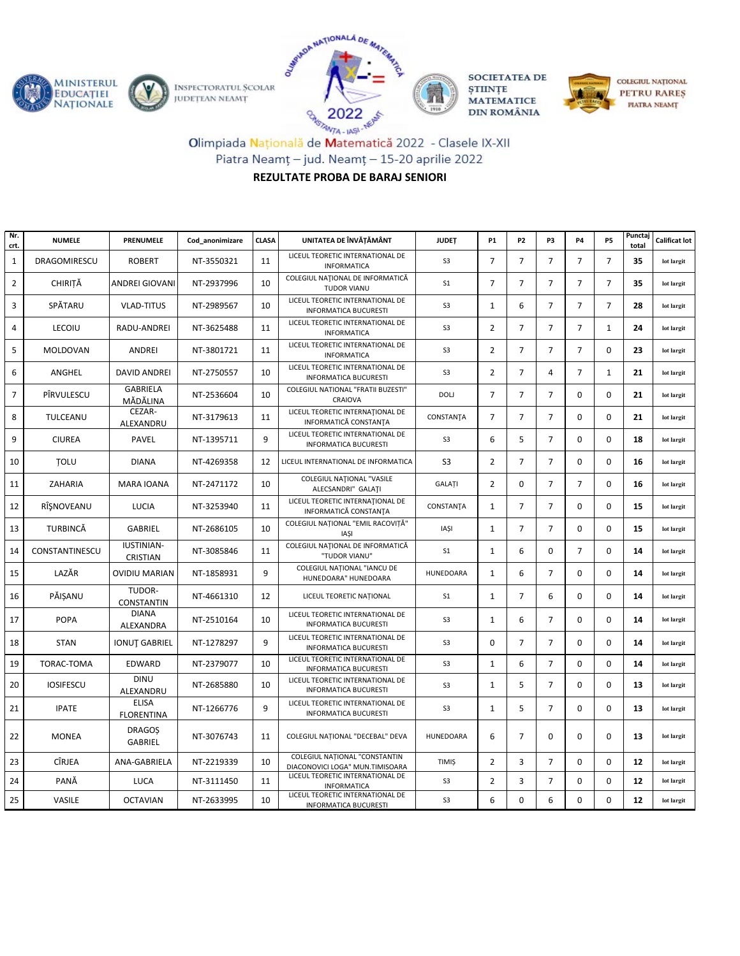

INSPECTORATUL SCOLAR JUDEȚEAN NEAMȚ



SOCIETATEA DE **ŞTIINȚE MATEMATICE DIN ROMÂNIA** 



#### Olimpiada Națională de Matematică 2022 - Clasele IX-XII Piatra Neamț - jud. Neamț - 15-20 aprilie 2022

| Nr.<br>crt.    | <b>NUMELE</b>    | PRENUMELE                            | Cod_anonimizare | <b>CLASA</b> | UNITATEA DE ÎNVĂȚĂMÂNT                                           | <b>JUDET</b>   | <b>P1</b>      | <b>P2</b>      | P3             | <b>P4</b>      | <b>P5</b>      | Punctaj<br>total | <b>Calificat lot</b> |
|----------------|------------------|--------------------------------------|-----------------|--------------|------------------------------------------------------------------|----------------|----------------|----------------|----------------|----------------|----------------|------------------|----------------------|
| $\mathbf{1}$   | DRAGOMIRESCU     | <b>ROBERT</b>                        | NT-3550321      | 11           | LICEUL TEORETIC INTERNATIONAL DE<br><b>INFORMATICA</b>           | S <sub>3</sub> | $\overline{7}$ | $\overline{7}$ | $\overline{7}$ | $\overline{7}$ | $\overline{7}$ | 35               | lot largit           |
| $\overline{2}$ | <b>CHIRITĂ</b>   | ANDREI GIOVANI                       | NT-2937996      | 10           | COLEGIUL NAȚIONAL DE INFORMATICĂ<br><b>TUDOR VIANU</b>           | S <sub>1</sub> | $\overline{7}$ | $\overline{7}$ | $\overline{7}$ | $\overline{7}$ | $\overline{7}$ | 35               | lot largit           |
| $\overline{3}$ | SPĂTARU          | <b>VLAD-TITUS</b>                    | NT-2989567      | 10           | LICEUL TEORETIC INTERNATIONAL DE<br><b>INFORMATICA BUCURESTI</b> | S <sub>3</sub> | $\mathbf{1}$   | 6              | $\overline{7}$ | $\overline{7}$ | $\overline{7}$ | 28               | lot largit           |
| 4              | <b>LECOIU</b>    | RADU-ANDREI                          | NT-3625488      | 11           | LICEUL TEORETIC INTERNATIONAL DE<br><b>INFORMATICA</b>           | S3             | $\overline{2}$ | $\overline{7}$ | $\overline{7}$ | $\overline{7}$ | $\mathbf{1}$   | 24               | lot largit           |
| 5              | <b>MOLDOVAN</b>  | <b>ANDREI</b>                        | NT-3801721      | 11           | LICEUL TEORETIC INTERNATIONAL DE<br><b>INFORMATICA</b>           | S <sub>3</sub> | $\overline{2}$ | $\overline{7}$ | $\overline{7}$ | $\overline{7}$ | $\Omega$       | 23               | lot largit           |
| 6              | ANGHEL           | DAVID ANDREI                         | NT-2750557      | 10           | LICEUL TEORETIC INTERNATIONAL DE<br><b>INFORMATICA BUCURESTI</b> | S3             | $\overline{2}$ | $\overline{7}$ | 4              | $\overline{7}$ | $\mathbf{1}$   | 21               | lot largit           |
| $\overline{7}$ | PÎRVULESCU       | <b>GABRIELA</b><br>MĂDĂLINA          | NT-2536604      | 10           | COLEGIUL NATIONAL "FRATII BUZESTI"<br>CRAIOVA                    | DOLJ           | $\overline{7}$ | $\overline{7}$ | $\overline{7}$ | 0              | $\Omega$       | 21               | lot largit           |
| 8              | TULCEANU         | CEZAR-<br>ALEXANDRU                  | NT-3179613      | 11           | LICEUL TEORETIC INTERNATIONAL DE<br>INFORMATICĂ CONSTANȚA        | CONSTANTA      | $\overline{7}$ | 7              | $\overline{7}$ | 0              | 0              | 21               | lot largit           |
| 9              | <b>CIUREA</b>    | <b>PAVEL</b>                         | NT-1395711      | 9            | LICEUL TEORETIC INTERNATIONAL DE<br><b>INFORMATICA BUCURESTI</b> | S <sub>3</sub> | 6              | 5              | $\overline{7}$ | 0              | $\Omega$       | 18               | lot largit           |
| 10             | <b>TOLU</b>      | <b>DIANA</b>                         | NT-4269358      | 12           | LICEUL INTERNATIONAL DE INFORMATICA                              | S <sub>3</sub> | 2              | $\overline{7}$ | $\overline{7}$ | 0              | $\Omega$       | 16               | lot largit           |
| 11             | ZAHARIA          | <b>MARA IOANA</b>                    | NT-2471172      | 10           | COLEGIUL NATIONAL "VASILE<br>ALECSANDRI" GALAȚI                  | GALATI         | $\overline{2}$ | 0              | $\overline{7}$ | $\overline{7}$ | $\Omega$       | 16               | lot largit           |
| 12             | RÎŞNOVEANU       | <b>LUCIA</b>                         | NT-3253940      | 11           | LICEUL TEORETIC INTERNATIONAL DE<br>INFORMATICĂ CONSTANȚA        | CONSTANTA      | $\mathbf{1}$   | $\overline{7}$ | $\overline{7}$ | 0              | $\Omega$       | 15               | lot largit           |
| 13             | <b>TURBINCĂ</b>  | <b>GABRIEL</b>                       | NT-2686105      | 10           | COLEGIUL NATIONAL "EMIL RACOVITĂ"<br><b>IASI</b>                 | <b>IASI</b>    | $\mathbf{1}$   | $\overline{7}$ | $\overline{7}$ | 0              | $\Omega$       | 15               | lot largit           |
| 14             | CONSTANTINESCU   | <b>IUSTINIAN-</b><br><b>CRISTIAN</b> | NT-3085846      | 11           | COLEGIUL NAȚIONAL DE INFORMATICĂ<br>"TUDOR VIANU"                | S <sub>1</sub> | $\mathbf{1}$   | 6              | $\mathbf 0$    | $\overline{7}$ | 0              | 14               | lot largit           |
| 15             | LAZĂR            | <b>OVIDIU MARIAN</b>                 | NT-1858931      | 9            | COLEGIUL NATIONAL "IANCU DE<br>HUNEDOARA" HUNEDOARA              | HUNEDOARA      | $\mathbf{1}$   | 6              | $\overline{7}$ | 0              | 0              | 14               | lot largit           |
| 16             | PĂIȘANU          | TUDOR-<br>CONSTANTIN                 | NT-4661310      | 12           | LICEUL TEORETIC NATIONAL                                         | S <sub>1</sub> | 1              | $\overline{7}$ | 6              | 0              | 0              | 14               | lot largit           |
| 17             | <b>POPA</b>      | <b>DIANA</b><br>ALEXANDRA            | NT-2510164      | 10           | LICEUL TEORETIC INTERNATIONAL DE<br><b>INFORMATICA BUCURESTI</b> | S <sub>3</sub> | $\mathbf{1}$   | 6              | $\overline{7}$ | 0              | $\Omega$       | 14               | lot largit           |
| 18             | <b>STAN</b>      | <b>IONUT GABRIEL</b>                 | NT-1278297      | 9            | LICEUL TEORETIC INTERNATIONAL DE<br><b>INFORMATICA BUCURESTI</b> | S <sub>3</sub> | $\mathbf 0$    | 7              | $\overline{7}$ | 0              | 0              | 14               | lot largit           |
| 19             | TORAC-TOMA       | <b>EDWARD</b>                        | NT-2379077      | 10           | LICEUL TEORETIC INTERNATIONAL DE<br><b>INFORMATICA BUCURESTI</b> | S <sub>3</sub> | $\mathbf{1}$   | 6              | $\overline{7}$ | 0              | $\Omega$       | 14               | lot largit           |
| 20             | <b>IOSIFESCU</b> | <b>DINU</b><br>ALEXANDRU             | NT-2685880      | 10           | LICEUL TEORETIC INTERNATIONAL DE<br><b>INFORMATICA BUCURESTI</b> | S3             | $\mathbf{1}$   | 5              | $\overline{7}$ | 0              | $\mathbf 0$    | 13               | lot largit           |
| 21             | <b>IPATE</b>     | <b>ELISA</b><br><b>FLORENTINA</b>    | NT-1266776      | 9            | LICEUL TEORETIC INTERNATIONAL DE<br><b>INFORMATICA BUCURESTI</b> | S <sub>3</sub> | $\mathbf{1}$   | 5              | $\overline{7}$ | 0              | $\Omega$       | 13               | lot largit           |
| 22             | <b>MONEA</b>     | <b>DRAGOS</b><br>GABRIEL             | NT-3076743      | 11           | COLEGIUL NAȚIONAL "DECEBAL" DEVA                                 | HUNEDOARA      | 6              | $\overline{7}$ | $\mathbf 0$    | 0              | $\mathbf 0$    | 13               | lot largit           |
| 23             | CÎRJEA           | ANA-GABRIELA                         | NT-2219339      | 10           | COLEGIUL NAȚIONAL "CONSTANTIN<br>DIACONOVICI LOGA" MUN.TIMISOARA | <b>TIMIŞ</b>   | $\overline{2}$ | 3              | $\overline{7}$ | 0              | $\pmb{0}$      | 12               | lot largit           |
| 24             | PANĂ             | <b>LUCA</b>                          | NT-3111450      | 11           | LICEUL TEORETIC INTERNATIONAL DE<br><b>INFORMATICA</b>           | S <sub>3</sub> | $\overline{2}$ | 3              | $\overline{7}$ | 0              | $\Omega$       | 12               | lot largit           |
| 25             | VASILE           | <b>OCTAVIAN</b>                      | NT-2633995      | 10           | LICEUL TEORETIC INTERNATIONAL DE<br><b>INFORMATICA BUCURESTI</b> | S <sub>3</sub> | 6              | $\Omega$       | 6              | 0              | $\Omega$       | 12               | lot largit           |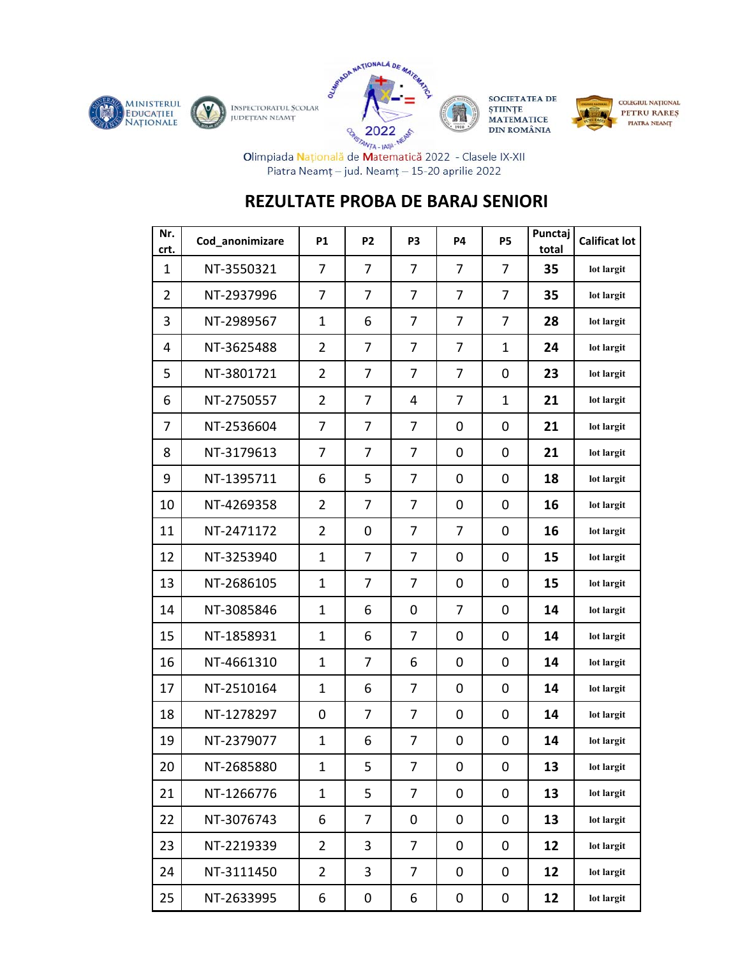

Y

**JUDETEAN NEAMT** 







Olimpiada Națională de Matematică 2022 - Clasele IX-XII Piatra Neamț - jud. Neamț - 15-20 aprilie 2022

| Nr.<br>crt.    | Cod_anonimizare | <b>P1</b>      | P <sub>2</sub> | P <sub>3</sub> | <b>P4</b>      | <b>P5</b>      | Punctaj<br>total | <b>Calificat lot</b> |
|----------------|-----------------|----------------|----------------|----------------|----------------|----------------|------------------|----------------------|
| $\mathbf{1}$   | NT-3550321      | $\overline{7}$ | 7              | 7              | 7              | $\overline{7}$ | 35               | lot largit           |
| $\overline{2}$ | NT-2937996      | $\overline{7}$ | 7              | 7              | 7              | 7              | 35               | lot largit           |
| 3              | NT-2989567      | $\mathbf 1$    | 6              | 7              | $\overline{7}$ | $\overline{7}$ | 28               | lot largit           |
| 4              | NT-3625488      | $\overline{2}$ | 7              | 7              | 7              | 1              | 24               | lot largit           |
| 5              | NT-3801721      | $\overline{2}$ | 7              | 7              | 7              | 0              | 23               | lot largit           |
| 6              | NT-2750557      | $\overline{2}$ | $\overline{7}$ | 4              | $\overline{7}$ | $\mathbf 1$    | 21               | lot largit           |
| 7              | NT-2536604      | $\overline{7}$ | 7              | 7              | 0              | 0              | 21               | lot largit           |
| 8              | NT-3179613      | 7              | $\overline{7}$ | 7              | 0              | 0              | 21               | lot largit           |
| 9              | NT-1395711      | 6              | 5              | 7              | 0              | 0              | 18               | lot largit           |
| 10             | NT-4269358      | $\overline{2}$ | 7              | 7              | 0              | 0              | 16               | lot largit           |
| 11             | NT-2471172      | $\overline{2}$ | $\overline{0}$ | 7              | 7              | 0              | 16               | lot largit           |
| 12             | NT-3253940      | $\mathbf 1$    | $\overline{7}$ | 7              | 0              | 0              | 15               | lot largit           |
| 13             | NT-2686105      | $\mathbf 1$    | $\overline{7}$ | 7              | 0              | 0              | 15               | lot largit           |
| 14             | NT-3085846      | $\mathbf{1}$   | 6              | 0              | $\overline{7}$ | 0              | 14               | lot largit           |
| 15             | NT-1858931      | $\mathbf{1}$   | 6              | 7              | 0              | 0              | 14               | lot largit           |
| 16             | NT-4661310      | $\mathbf{1}$   | 7              | 6              | 0              | 0              | 14               | lot largit           |
| 17             | NT-2510164      | 1              | 6              | 7              | 0              | 0              | 14               | lot largit           |
| 18             | NT-1278297      | 0              | 7              | 7              | 0              | 0              | 14               | lot largit           |
| 19             | NT-2379077      | $\mathbf{1}$   | 6              | 7              | 0              | 0              | 14               | lot largit           |
| 20             | NT-2685880      | $\mathbf{1}$   | 5              | 7              | 0              | 0              | 13               | lot largit           |
| 21             | NT-1266776      | $\mathbf{1}$   | 5              | 7              | 0              | 0              | 13               | lot largit           |
| 22             | NT-3076743      | 6              | $\overline{7}$ | 0              | 0              | 0              | 13               | lot largit           |
| 23             | NT-2219339      | $\overline{2}$ | 3              | 7              | 0              | 0              | 12               | lot largit           |
| 24             | NT-3111450      | $\overline{2}$ | 3              | 7              | 0              | 0              | 12               | lot largit           |
| 25             | NT-2633995      | 6              | 0              | 6              | 0              | 0              | 12               | lot largit           |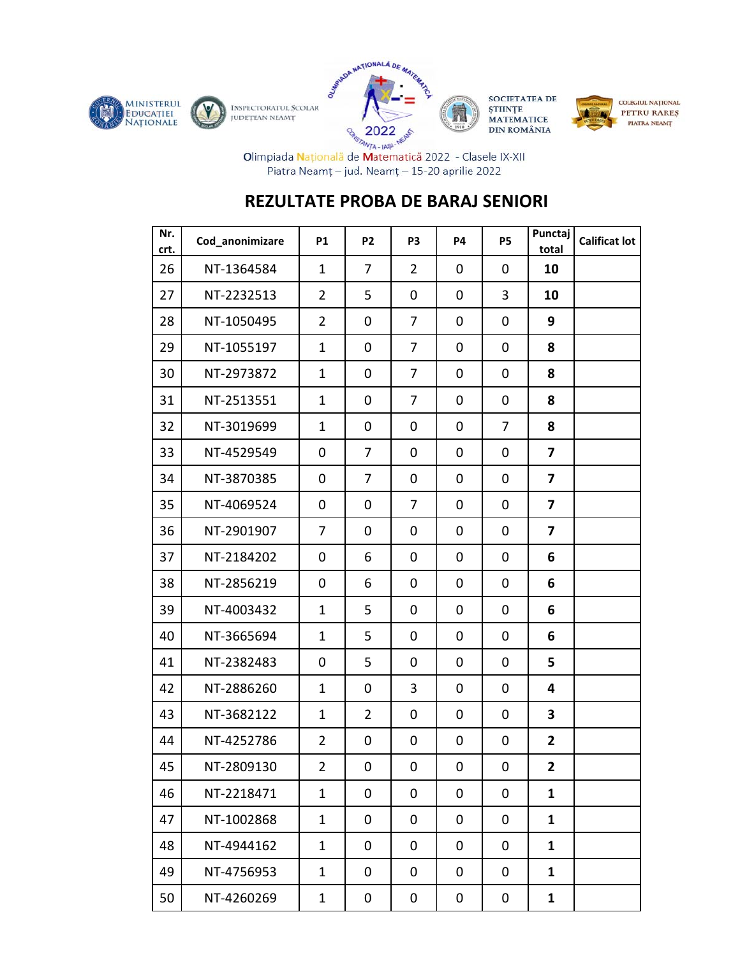

Y

**JUDETEAN NEAMT** 







Olimpiada Națională de Matematică 2022 - Clasele IX-XII Piatra Neamț - jud. Neamț - 15-20 aprilie 2022

| Nr.<br>crt. | Cod_anonimizare | <b>P1</b>      | P <sub>2</sub> | P3             | P4 | <b>P5</b> | Punctaj<br>total | <b>Calificat lot</b> |
|-------------|-----------------|----------------|----------------|----------------|----|-----------|------------------|----------------------|
| 26          | NT-1364584      | $\mathbf{1}$   | 7              | $\overline{2}$ | 0  | 0         | 10               |                      |
| 27          | NT-2232513      | $\overline{2}$ | 5              | 0              | 0  | 3         | 10               |                      |
| 28          | NT-1050495      | $\overline{2}$ | $\overline{0}$ | 7              | 0  | 0         | 9                |                      |
| 29          | NT-1055197      | 1              | $\overline{0}$ | 7              | 0  | 0         | 8                |                      |
| 30          | NT-2973872      | 1              | 0              | 7              | 0  | 0         | 8                |                      |
| 31          | NT-2513551      | $\mathbf{1}$   | $\overline{0}$ | 7              | 0  | 0         | 8                |                      |
| 32          | NT-3019699      | $\mathbf{1}$   | 0              | 0              | 0  | 7         | 8                |                      |
| 33          | NT-4529549      | 0              | $\overline{7}$ | 0              | 0  | 0         | $\overline{7}$   |                      |
| 34          | NT-3870385      | 0              | $\overline{7}$ | 0              | 0  | 0         | 7                |                      |
| 35          | NT-4069524      | 0              | $\overline{0}$ | 7              | 0  | 0         | $\overline{7}$   |                      |
| 36          | NT-2901907      | 7              | 0              | 0              | 0  | 0         | $\overline{7}$   |                      |
| 37          | NT-2184202      | 0              | 6              | 0              | 0  | 0         | 6                |                      |
| 38          | NT-2856219      | 0              | 6              | 0              | 0  | 0         | 6                |                      |
| 39          | NT-4003432      | $\mathbf{1}$   | 5              | 0              | 0  | 0         | 6                |                      |
| 40          | NT-3665694      | $\mathbf 1$    | 5              | 0              | 0  | 0         | 6                |                      |
| 41          | NT-2382483      | 0              | 5              | 0              | 0  | 0         | 5                |                      |
| 42          | NT-2886260      | $\mathbf{1}$   | $\overline{0}$ | 3              | 0  | 0         | 4                |                      |
| 43          | NT-3682122      | 1              | $\overline{2}$ | 0              | 0  | 0         | 3                |                      |
| 44          | NT-4252786      | $\overline{2}$ | 0              | 0              | 0  | 0         | $\overline{2}$   |                      |
| 45          | NT-2809130      | $\overline{2}$ | $\mathbf 0$    | 0              | 0  | 0         | $\overline{2}$   |                      |
| 46          | NT-2218471      | 1              | $\mathbf 0$    | 0              | 0  | 0         | $\mathbf{1}$     |                      |
| 47          | NT-1002868      | $\mathbf 1$    | 0              | 0              | 0  | 0         | $\mathbf{1}$     |                      |
| 48          | NT-4944162      | 1              | 0              | 0              | 0  | 0         | $\mathbf{1}$     |                      |
| 49          | NT-4756953      | 1              | 0              | 0              | 0  | 0         | $\mathbf{1}$     |                      |
| 50          | NT-4260269      | $\mathbf 1$    | 0              | 0              | 0  | 0         | $\mathbf{1}$     |                      |